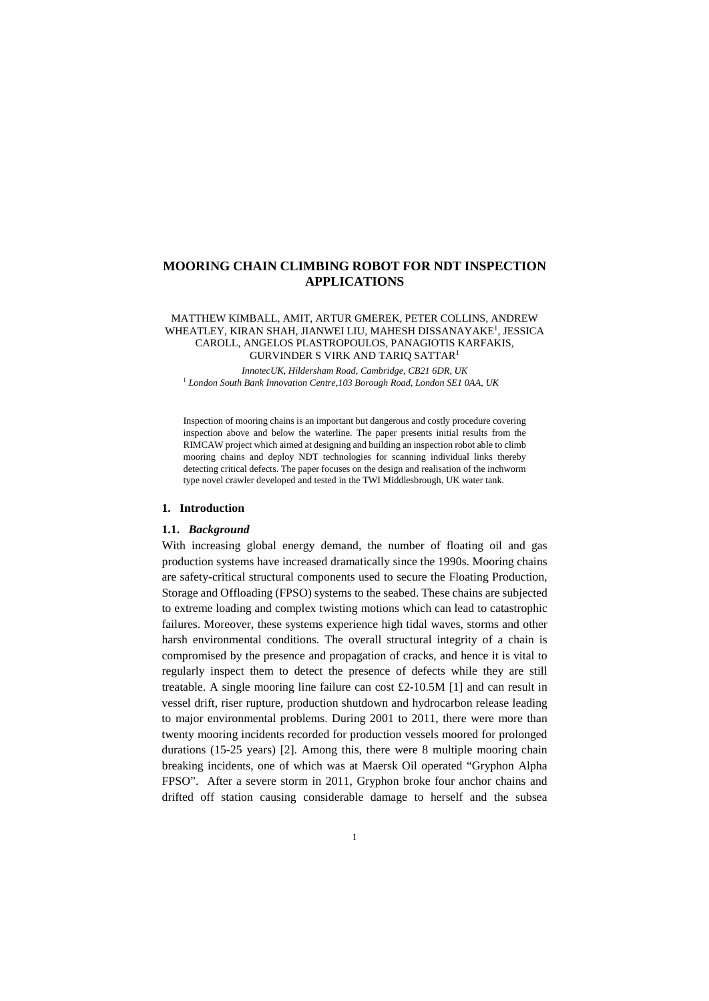# **MOORING CHAIN CLIMBING ROBOT FOR NDT INSPECTION APPLICATIONS**

#### MATTHEW KIMBALL, AMIT, ARTUR GMEREK, PETER COLLINS, ANDREW WHEATLEY, KIRAN SHAH, JIANWEI LIU, MAHESH DISSANAYAKE<sup>1</sup>, JESSICA CAROLL, ANGELOS PLASTROPOULOS, PANAGIOTIS KARFAKIS, GURVINDER S VIRK AND TARIQ SATTAR1

*InnotecUK, Hildersham Road, Cambridge, CB21 6DR, UK* <sup>1</sup> *London South Bank Innovation Centre,103 Borough Road, London SE1 0AA, UK*

Inspection of mooring chains is an important but dangerous and costly procedure covering inspection above and below the waterline. The paper presents initial results from the RIMCAW project which aimed at designing and building an inspection robot able to climb mooring chains and deploy NDT technologies for scanning individual links thereby detecting critical defects. The paper focuses on the design and realisation of the inchworm type novel crawler developed and tested in the TWI Middlesbrough, UK water tank.

#### **1. Introduction**

#### **1.1.** *Background*

With increasing global energy demand, the number of floating oil and gas production systems have increased dramatically since the 1990s. Mooring chains are safety-critical structural components used to secure the Floating Production, Storage and Offloading (FPSO) systems to the seabed. These chains are subjected to extreme loading and complex twisting motions which can lead to catastrophic failures. Moreover, these systems experience high tidal waves, storms and other harsh environmental conditions. The overall structural integrity of a chain is compromised by the presence and propagation of cracks, and hence it is vital to regularly inspect them to detect the presence of defects while they are still treatable. A single mooring line failure can cost £2-10.5M [1] and can result in vessel drift, riser rupture, production shutdown and hydrocarbon release leading to major environmental problems. During 2001 to 2011, there were more than twenty mooring incidents recorded for production vessels moored for prolonged durations (15-25 years) [2]. Among this, there were 8 multiple mooring chain breaking incidents, one of which was at Maersk Oil operated "Gryphon Alpha FPSO". After a severe storm in 2011, Gryphon broke four anchor chains and drifted off station causing considerable damage to herself and the subsea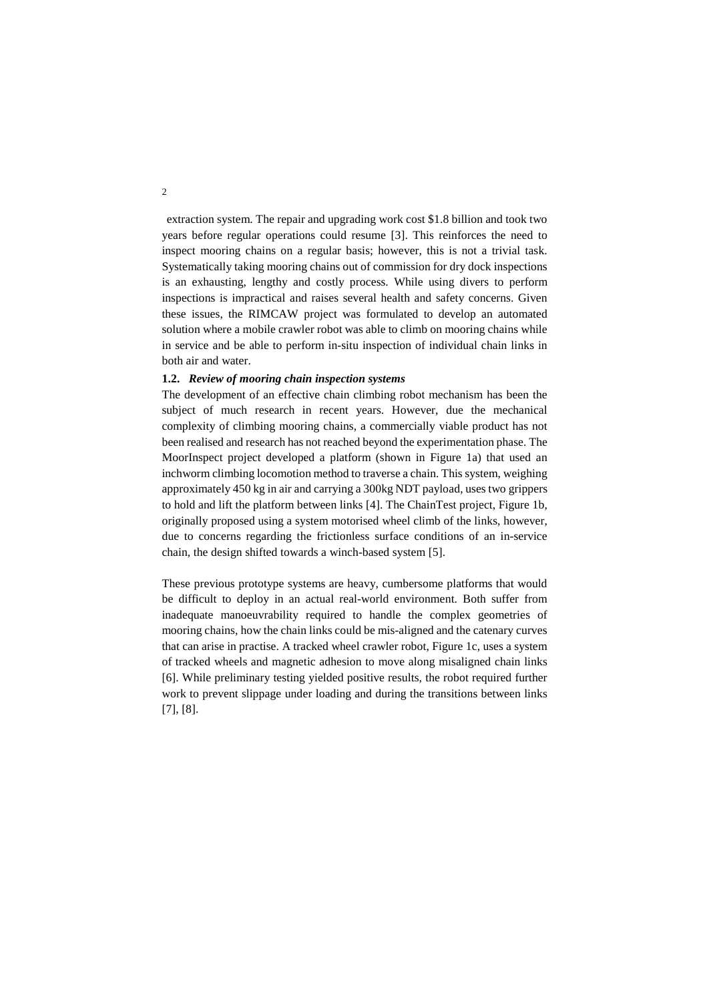extraction system. The repair and upgrading work cost \$1.8 billion and took two years before regular operations could resume [3]. This reinforces the need to inspect mooring chains on a regular basis; however, this is not a trivial task. Systematically taking mooring chains out of commission for dry dock inspections is an exhausting, lengthy and costly process. While using divers to perform inspections is impractical and raises several health and safety concerns. Given these issues, the RIMCAW project was formulated to develop an automated solution where a mobile crawler robot was able to climb on mooring chains while in service and be able to perform in-situ inspection of individual chain links in both air and water.

### **1.2.** *Review of mooring chain inspection systems*

The development of an effective chain climbing robot mechanism has been the subject of much research in recent years. However, due the mechanical complexity of climbing mooring chains, a commercially viable product has not been realised and research has not reached beyond the experimentation phase. The MoorInspect project developed a platform (shown in Figure 1a) that used an inchworm climbing locomotion method to traverse a chain. This system, weighing approximately 450 kg in air and carrying a 300kg NDT payload, uses two grippers to hold and lift the platform between links [4]. The ChainTest project, Figure 1b, originally proposed using a system motorised wheel climb of the links, however, due to concerns regarding the frictionless surface conditions of an in-service chain, the design shifted towards a winch-based system [5].

These previous prototype systems are heavy, cumbersome platforms that would be difficult to deploy in an actual real-world environment. Both suffer from inadequate manoeuvrability required to handle the complex geometries of mooring chains, how the chain links could be mis-aligned and the catenary curves that can arise in practise. A tracked wheel crawler robot, Figure 1c, uses a system of tracked wheels and magnetic adhesion to move along misaligned chain links [6]. While preliminary testing yielded positive results, the robot required further work to prevent slippage under loading and during the transitions between links [7], [8].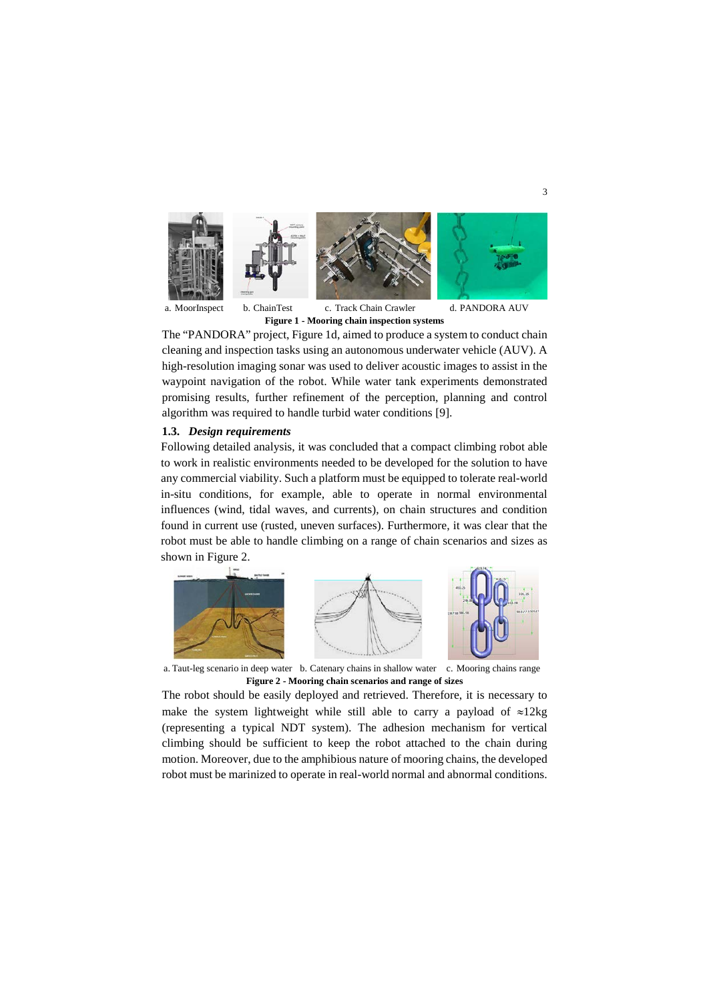

a. MoorInspect b. ChainTest c. Track Chain Crawler d. PANDORA AUV **Figure 1 - Mooring chain inspection systems**

The "PANDORA" project, Figure 1d, aimed to produce a system to conduct chain cleaning and inspection tasks using an autonomous underwater vehicle (AUV). A high-resolution imaging sonar was used to deliver acoustic images to assist in the waypoint navigation of the robot. While water tank experiments demonstrated promising results, further refinement of the perception, planning and control algorithm was required to handle turbid water conditions [9].

## **1.3.** *Design requirements*

Following detailed analysis, it was concluded that a compact climbing robot able to work in realistic environments needed to be developed for the solution to have any commercial viability. Such a platform must be equipped to tolerate real-world in-situ conditions, for example, able to operate in normal environmental influences (wind, tidal waves, and currents), on chain structures and condition found in current use (rusted, uneven surfaces). Furthermore, it was clear that the robot must be able to handle climbing on a range of chain scenarios and sizes as shown in [Figure 2](#page-2-0).



<span id="page-2-0"></span>a. Taut-leg scenario in deep water b. Catenary chains in shallow water c. Mooring chains range **Figure 2 - Mooring chain scenarios and range of sizes**

The robot should be easily deployed and retrieved. Therefore, it is necessary to make the system lightweight while still able to carry a payload of ≈12kg (representing a typical NDT system). The adhesion mechanism for vertical climbing should be sufficient to keep the robot attached to the chain during motion. Moreover, due to the amphibious nature of mooring chains, the developed robot must be marinized to operate in real-world normal and abnormal conditions.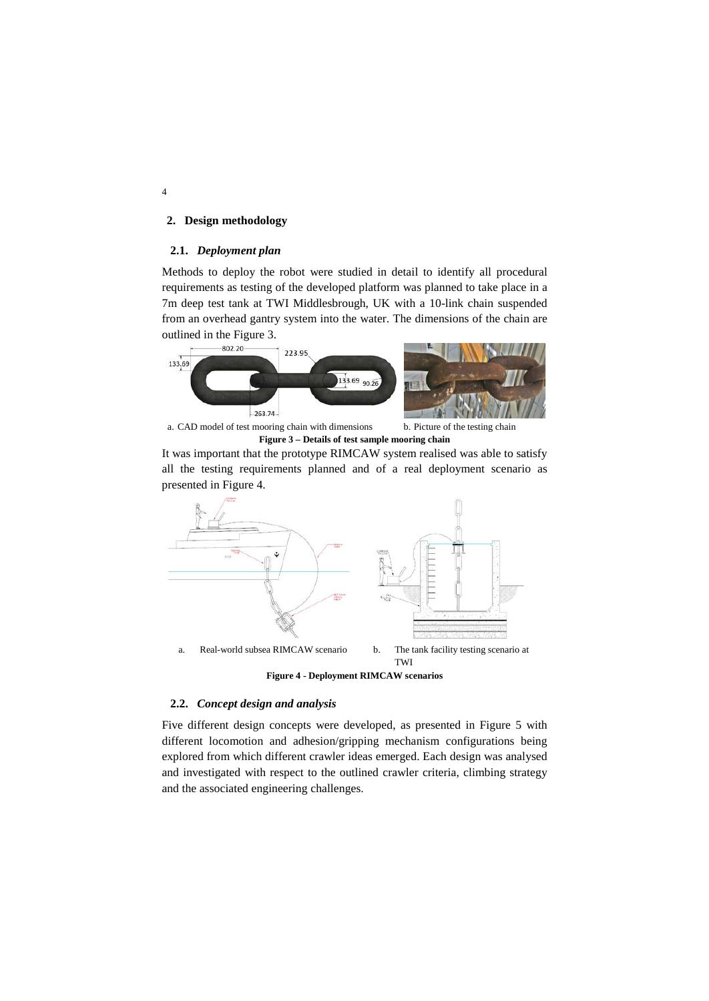## **2. Design methodology**

### **2.1.** *Deployment plan*

Methods to deploy the robot were studied in detail to identify all procedural requirements as testing of the developed platform was planned to take place in a 7m deep test tank at TWI Middlesbrough, UK with a 10-link chain suspended from an overhead gantry system into the water. The dimensions of the chain are outlined in the Figure 3.



a. CAD model of test mooring chain with dimensions b. Picture of the testing chain **Figure 3 – Details of test sample mooring chain**

It was important that the prototype RIMCAW system realised was able to satisfy all the testing requirements planned and of a real deployment scenario as presented in Figure 4.



**Figure 4 - Deployment RIMCAW scenarios**

# **2.2.** *Concept design and analysis*

Five different design concepts were developed, as presented in Figure 5 with different locomotion and adhesion/gripping mechanism configurations being explored from which different crawler ideas emerged. Each design was analysed and investigated with respect to the outlined crawler criteria, climbing strategy and the associated engineering challenges.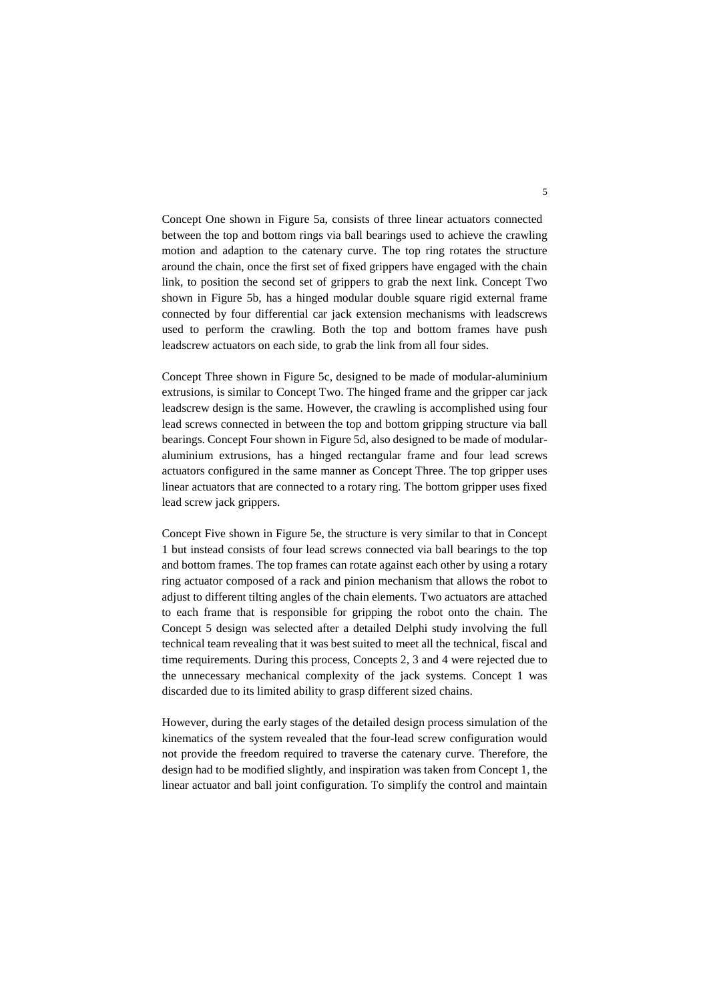Concept One shown in Figure 5a, consists of three linear actuators connected between the top and bottom rings via ball bearings used to achieve the crawling motion and adaption to the catenary curve. The top ring rotates the structure around the chain, once the first set of fixed grippers have engaged with the chain link, to position the second set of grippers to grab the next link. Concept Two shown in Figure 5b, has a hinged modular double square rigid external frame connected by four differential car jack extension mechanisms with leadscrews used to perform the crawling. Both the top and bottom frames have push leadscrew actuators on each side, to grab the link from all four sides.

Concept Three shown in Figure 5c, designed to be made of modular-aluminium extrusions, is similar to Concept Two. The hinged frame and the gripper car jack leadscrew design is the same. However, the crawling is accomplished using four lead screws connected in between the top and bottom gripping structure via ball bearings. Concept Four shown in Figure 5d, also designed to be made of modularaluminium extrusions, has a hinged rectangular frame and four lead screws actuators configured in the same manner as Concept Three. The top gripper uses linear actuators that are connected to a rotary ring. The bottom gripper uses fixed lead screw jack grippers.

Concept Five shown in Figure 5e, the structure is very similar to that in Concept 1 but instead consists of four lead screws connected via ball bearings to the top and bottom frames. The top frames can rotate against each other by using a rotary ring actuator composed of a rack and pinion mechanism that allows the robot to adjust to different tilting angles of the chain elements. Two actuators are attached to each frame that is responsible for gripping the robot onto the chain. The Concept 5 design was selected after a detailed Delphi study involving the full technical team revealing that it was best suited to meet all the technical, fiscal and time requirements. During this process, Concepts 2, 3 and 4 were rejected due to the unnecessary mechanical complexity of the jack systems. Concept 1 was discarded due to its limited ability to grasp different sized chains.

However, during the early stages of the detailed design process simulation of the kinematics of the system revealed that the four-lead screw configuration would not provide the freedom required to traverse the catenary curve. Therefore, the design had to be modified slightly, and inspiration was taken from Concept 1, the linear actuator and ball joint configuration. To simplify the control and maintain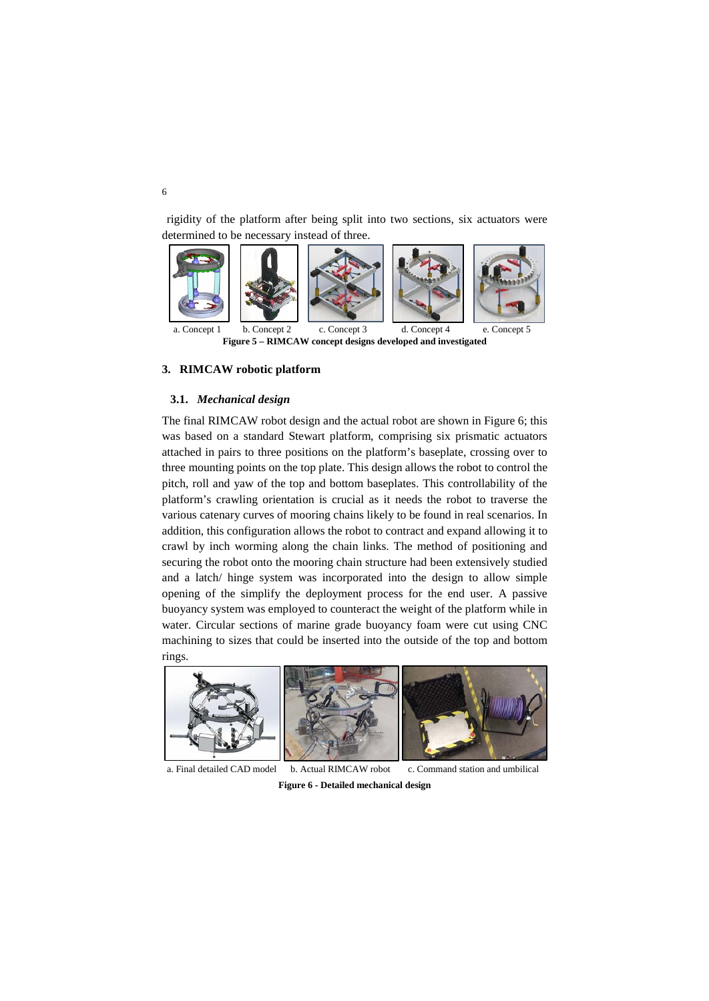rigidity of the platform after being split into two sections, six actuators were determined to be necessary instead of three.



**Figure 5 – RIMCAW concept designs developed and investigated**

## **3. RIMCAW robotic platform**

### **3.1.** *Mechanical design*

The final RIMCAW robot design and the actual robot are shown in Figure 6; this was based on a standard Stewart platform, comprising six prismatic actuators attached in pairs to three positions on the platform's baseplate, crossing over to three mounting points on the top plate. This design allows the robot to control the pitch, roll and yaw of the top and bottom baseplates. This controllability of the platform's crawling orientation is crucial as it needs the robot to traverse the various catenary curves of mooring chains likely to be found in real scenarios. In addition, this configuration allows the robot to contract and expand allowing it to crawl by inch worming along the chain links. The method of positioning and securing the robot onto the mooring chain structure had been extensively studied and a latch/ hinge system was incorporated into the design to allow simple opening of the simplify the deployment process for the end user. A passive buoyancy system was employed to counteract the weight of the platform while in water. Circular sections of marine grade buoyancy foam were cut using CNC machining to sizes that could be inserted into the outside of the top and bottom rings.

<span id="page-5-0"></span>

a. Final detailed CAD model b. Actual RIMCAW robot c. Command station and umbilical **Figure 6 - Detailed mechanical design**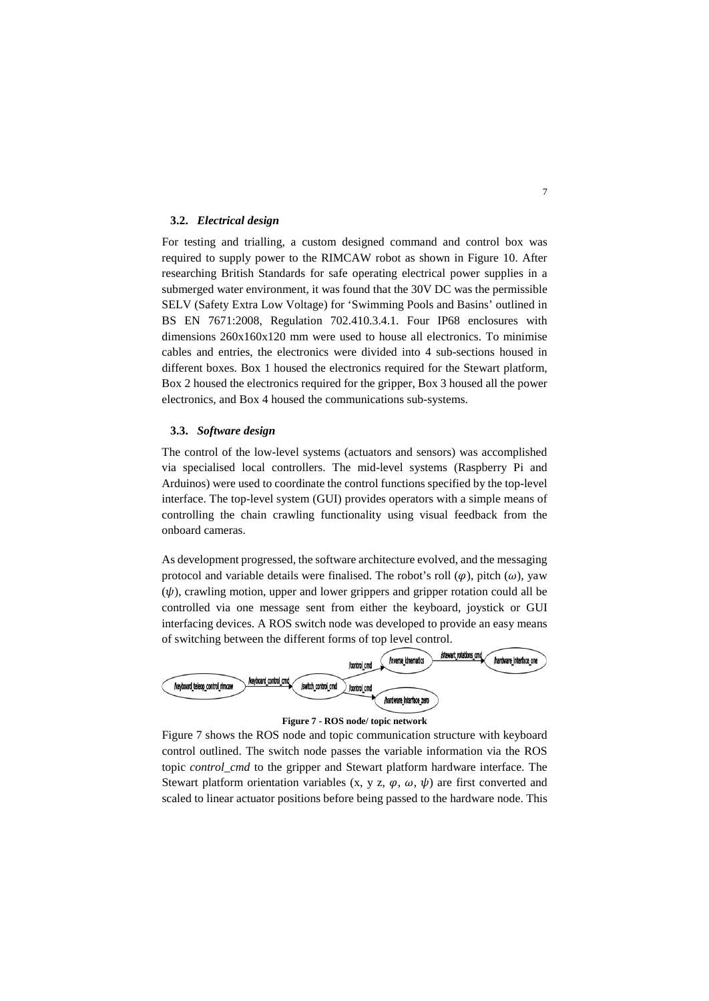#### **3.2.** *Electrical design*

For testing and trialling, a custom designed command and control box was required to supply power to the RIMCAW robot as shown in [Figure 1](#page-5-0)0. After researching British Standards for safe operating electrical power supplies in a submerged water environment, it was found that the 30V DC was the permissible SELV (Safety Extra Low Voltage) for 'Swimming Pools and Basins' outlined in BS EN 7671:2008, Regulation 702.410.3.4.1. Four IP68 enclosures with dimensions 260x160x120 mm were used to house all electronics. To minimise cables and entries, the electronics were divided into 4 sub-sections housed in different boxes. Box 1 housed the electronics required for the Stewart platform, Box 2 housed the electronics required for the gripper, Box 3 housed all the power electronics, and Box 4 housed the communications sub-systems.

## **3.3.** *Software design*

The control of the low-level systems (actuators and sensors) was accomplished via specialised local controllers. The mid-level systems (Raspberry Pi and Arduinos) were used to coordinate the control functions specified by the top-level interface. The top-level system (GUI) provides operators with a simple means of controlling the chain crawling functionality using visual feedback from the onboard cameras.

As development progressed, the software architecture evolved, and the messaging protocol and variable details were finalised. The robot's roll  $(\varphi)$ , pitch  $(\omega)$ , yaw  $(\psi)$ , crawling motion, upper and lower grippers and gripper rotation could all be controlled via one message sent from either the keyboard, joystick or GUI interfacing devices. A ROS switch node was developed to provide an easy means of switching between the different forms of top level control.





<span id="page-6-0"></span>[Figure 7](#page-6-0) shows the ROS node and topic communication structure with keyboard control outlined. The switch node passes the variable information via the ROS topic *control\_cmd* to the gripper and Stewart platform hardware interface. The Stewart platform orientation variables  $(x, y, z, \varphi, \omega, \psi)$  are first converted and scaled to linear actuator positions before being passed to the hardware node. This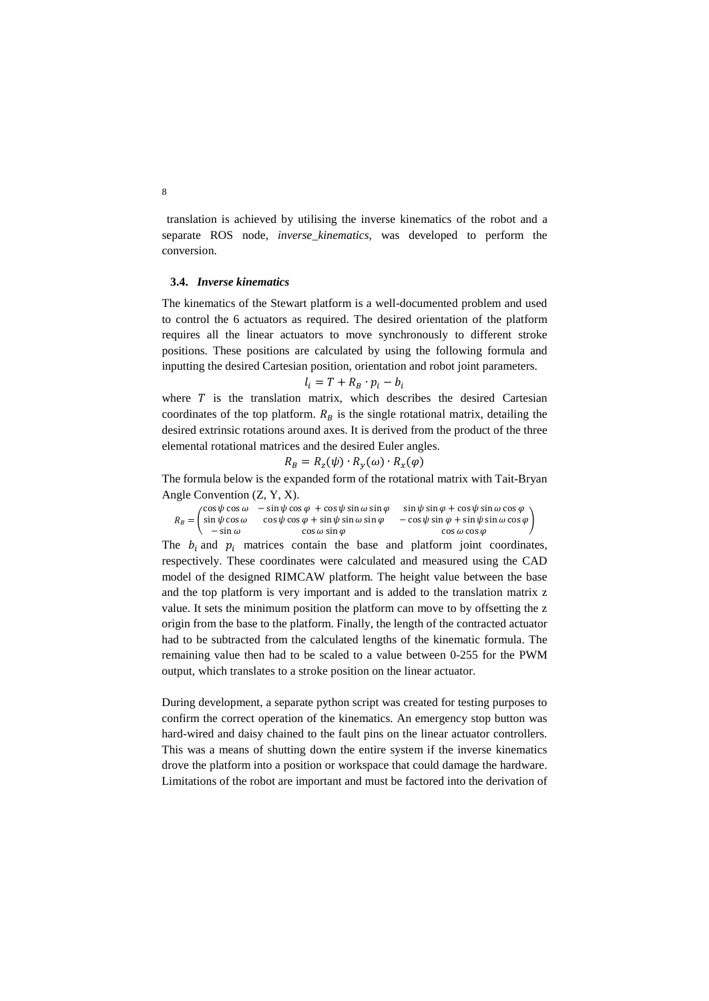translation is achieved by utilising the inverse kinematics of the robot and a separate ROS node, *inverse\_kinematics*, was developed to perform the conversion.

### **3.4.** *Inverse kinematics*

The kinematics of the Stewart platform is a well-documented problem and used to control the 6 actuators as required. The desired orientation of the platform requires all the linear actuators to move synchronously to different stroke positions. These positions are calculated by using the following formula and inputting the desired Cartesian position, orientation and robot joint parameters.

$$
l_i = T + R_B \cdot p_i - b_i
$$

where  $T$  is the translation matrix, which describes the desired Cartesian coordinates of the top platform.  $R_B$  is the single rotational matrix, detailing the desired extrinsic rotations around axes. It is derived from the product of the three elemental rotational matrices and the desired Euler angles.

$$
R_B = R_z(\psi) \cdot R_y(\omega) \cdot R_x(\varphi)
$$

The formula below is the expanded form of the rotational matrix with Tait-Bryan Angle Convention (Z, Y, X).

|                                    | $\cos \psi \cos \omega$ - $\sin \psi \cos \varphi$ + $\cos \psi \sin \omega \sin \varphi$ | $\sin \psi \sin \varphi + \cos \psi \sin \omega \cos \varphi$ |
|------------------------------------|-------------------------------------------------------------------------------------------|---------------------------------------------------------------|
| $R_B = \int \sin \psi \cos \omega$ | $\cos \psi \cos \varphi + \sin \psi \sin \omega \sin \varphi$                             | $-\cos\psi\sin\varphi+\sin\psi\sin\omega\cos\varphi$          |
| $-\sin \omega$                     | $\cos \omega \sin \varphi$                                                                | COS $\omega$ COS $\varphi$                                    |

The  $b_i$  and  $p_i$  matrices contain the base and platform joint coordinates, respectively. These coordinates were calculated and measured using the CAD model of the designed RIMCAW platform. The height value between the base and the top platform is very important and is added to the translation matrix z value. It sets the minimum position the platform can move to by offsetting the z origin from the base to the platform. Finally, the length of the contracted actuator had to be subtracted from the calculated lengths of the kinematic formula. The remaining value then had to be scaled to a value between 0-255 for the PWM output, which translates to a stroke position on the linear actuator.

During development, a separate python script was created for testing purposes to confirm the correct operation of the kinematics. An emergency stop button was hard-wired and daisy chained to the fault pins on the linear actuator controllers. This was a means of shutting down the entire system if the inverse kinematics drove the platform into a position or workspace that could damage the hardware. Limitations of the robot are important and must be factored into the derivation of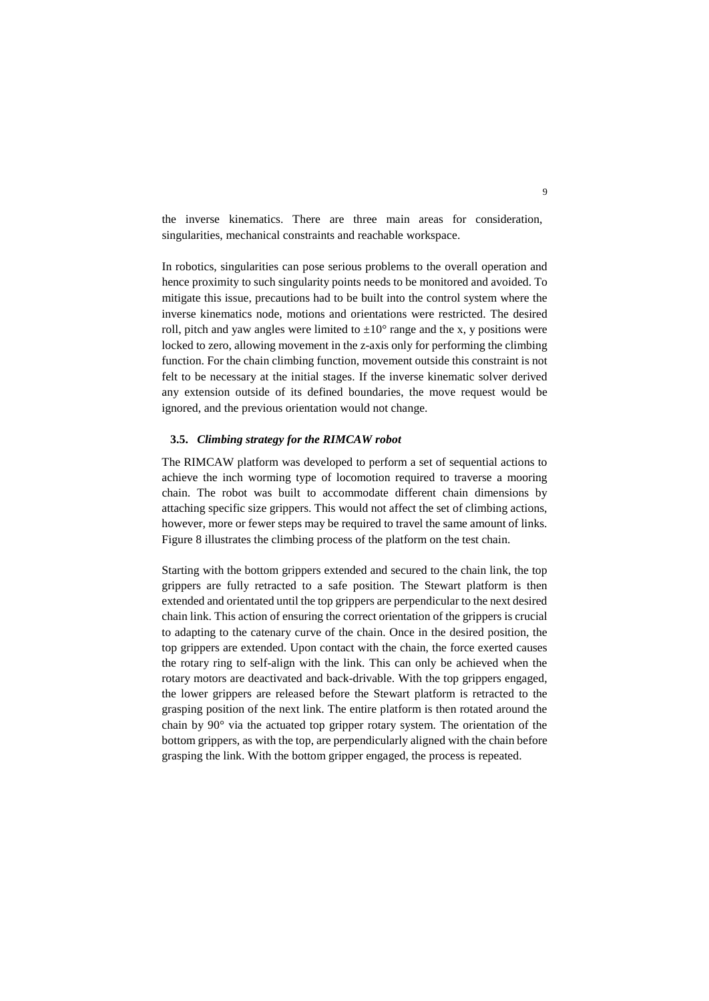the inverse kinematics. There are three main areas for consideration, singularities, mechanical constraints and reachable workspace.

In robotics, singularities can pose serious problems to the overall operation and hence proximity to such singularity points needs to be monitored and avoided. To mitigate this issue, precautions had to be built into the control system where the inverse kinematics node, motions and orientations were restricted. The desired roll, pitch and yaw angles were limited to  $\pm 10^{\circ}$  range and the x, y positions were locked to zero, allowing movement in the z-axis only for performing the climbing function. For the chain climbing function, movement outside this constraint is not felt to be necessary at the initial stages. If the inverse kinematic solver derived any extension outside of its defined boundaries, the move request would be ignored, and the previous orientation would not change.

### **3.5.** *Climbing strategy for the RIMCAW robot*

The RIMCAW platform was developed to perform a set of sequential actions to achieve the inch worming type of locomotion required to traverse a mooring chain. The robot was built to accommodate different chain dimensions by attaching specific size grippers. This would not affect the set of climbing actions, however, more or fewer steps may be required to travel the same amount of links. Figure 8 illustrates the climbing process of the platform on the test chain.

Starting with the bottom grippers extended and secured to the chain link, the top grippers are fully retracted to a safe position. The Stewart platform is then extended and orientated until the top grippers are perpendicular to the next desired chain link. This action of ensuring the correct orientation of the grippers is crucial to adapting to the catenary curve of the chain. Once in the desired position, the top grippers are extended. Upon contact with the chain, the force exerted causes the rotary ring to self-align with the link. This can only be achieved when the rotary motors are deactivated and back-drivable. With the top grippers engaged, the lower grippers are released before the Stewart platform is retracted to the grasping position of the next link. The entire platform is then rotated around the chain by 90° via the actuated top gripper rotary system. The orientation of the bottom grippers, as with the top, are perpendicularly aligned with the chain before grasping the link. With the bottom gripper engaged, the process is repeated.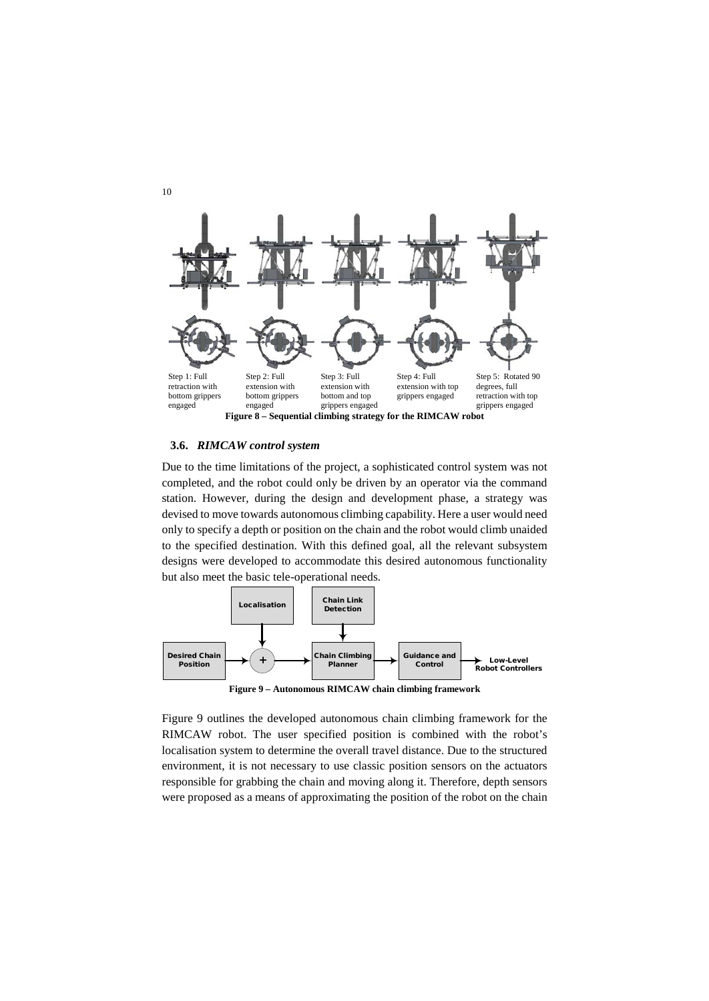

### **3.6.** *RIMCAW control system*

Due to the time limitations of the project, a sophisticated control system was not completed, and the robot could only be driven by an operator via the command station. However, during the design and development phase, a strategy was devised to move towards autonomous climbing capability. Here a user would need only to specify a depth or position on the chain and the robot would climb unaided to the specified destination. With this defined goal, all the relevant subsystem designs were developed to accommodate this desired autonomous functionality but also meet the basic tele-operational needs.



**Figure 9 – Autonomous RIMCAW chain climbing framework**

Figure 9 outlines the developed autonomous chain climbing framework for the RIMCAW robot. The user specified position is combined with the robot's localisation system to determine the overall travel distance. Due to the structured environment, it is not necessary to use classic position sensors on the actuators responsible for grabbing the chain and moving along it. Therefore, depth sensors were proposed as a means of approximating the position of the robot on the chain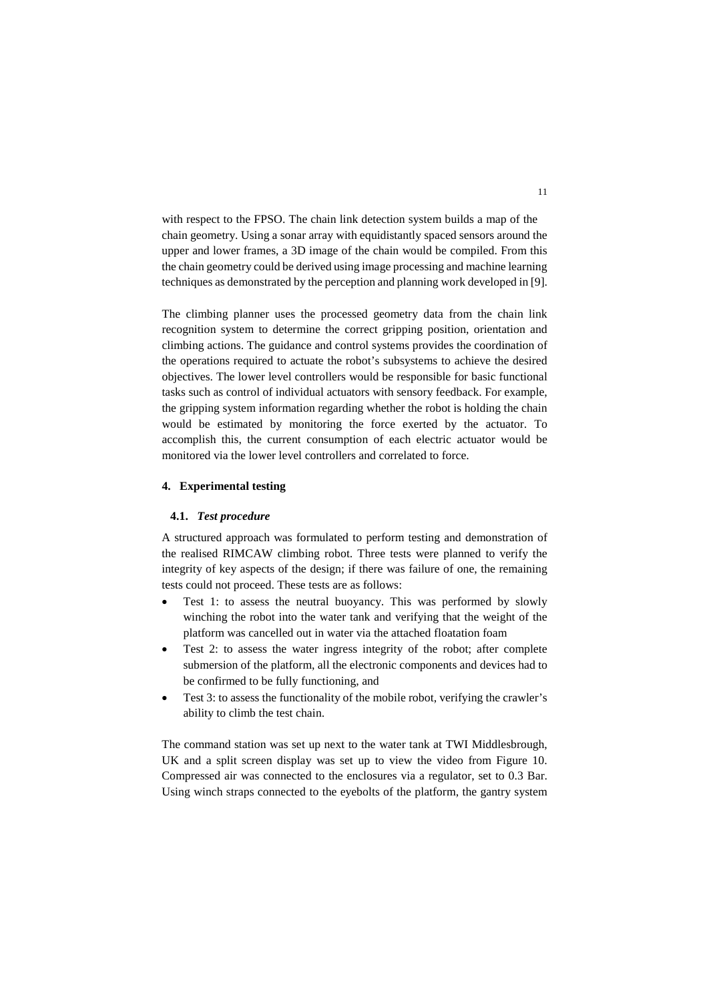with respect to the FPSO. The chain link detection system builds a map of the chain geometry. Using a sonar array with equidistantly spaced sensors around the upper and lower frames, a 3D image of the chain would be compiled. From this the chain geometry could be derived using image processing and machine learning techniques as demonstrated by the perception and planning work developed in [9].

The climbing planner uses the processed geometry data from the chain link recognition system to determine the correct gripping position, orientation and climbing actions. The guidance and control systems provides the coordination of the operations required to actuate the robot's subsystems to achieve the desired objectives. The lower level controllers would be responsible for basic functional tasks such as control of individual actuators with sensory feedback. For example, the gripping system information regarding whether the robot is holding the chain would be estimated by monitoring the force exerted by the actuator. To accomplish this, the current consumption of each electric actuator would be monitored via the lower level controllers and correlated to force.

## **4. Experimental testing**

## **4.1.** *Test procedure*

A structured approach was formulated to perform testing and demonstration of the realised RIMCAW climbing robot. Three tests were planned to verify the integrity of key aspects of the design; if there was failure of one, the remaining tests could not proceed. These tests are as follows:

- Test 1: to assess the neutral buoyancy. This was performed by slowly winching the robot into the water tank and verifying that the weight of the platform was cancelled out in water via the attached floatation foam
- Test 2: to assess the water ingress integrity of the robot; after complete submersion of the platform, all the electronic components and devices had to be confirmed to be fully functioning, and
- Test 3: to assess the functionality of the mobile robot, verifying the crawler's ability to climb the test chain.

The command station was set up next to the water tank at TWI Middlesbrough, UK and a split screen display was set up to view the video from [Figure 1](#page-11-0)0. Compressed air was connected to the enclosures via a regulator, set to 0.3 Bar. Using winch straps connected to the eyebolts of the platform, the gantry system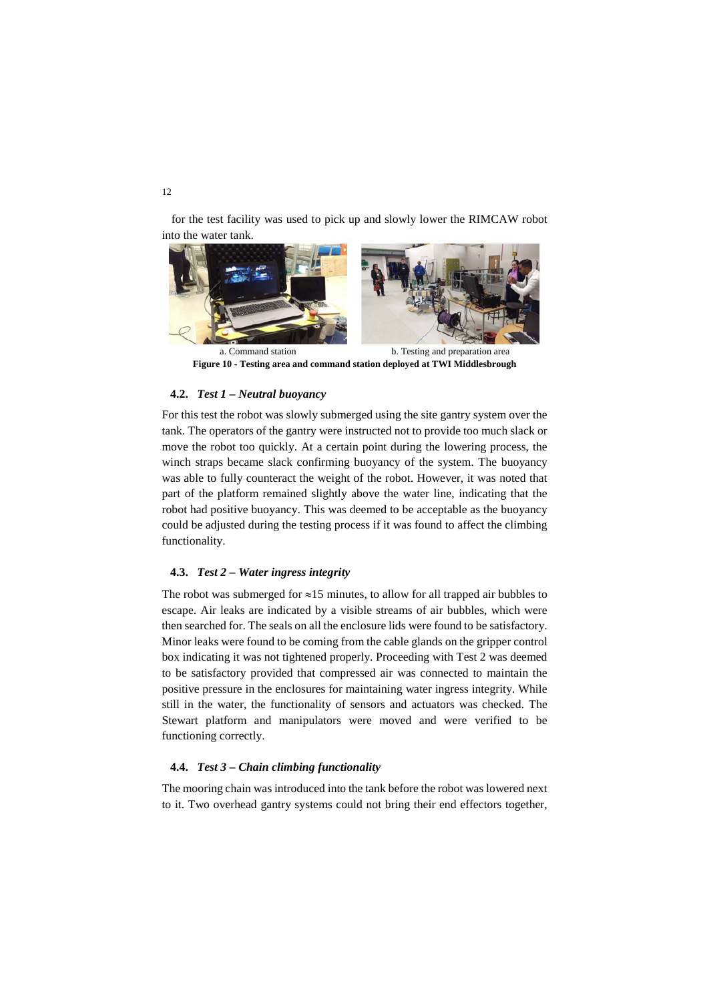for the test facility was used to pick up and slowly lower the RIMCAW robot into the water tank.



**Figure 10 - Testing area and command station deployed at TWI Middlesbrough**

### <span id="page-11-0"></span>**4.2.** *Test 1 – Neutral buoyancy*

For this test the robot was slowly submerged using the site gantry system over the tank. The operators of the gantry were instructed not to provide too much slack or move the robot too quickly. At a certain point during the lowering process, the winch straps became slack confirming buoyancy of the system. The buoyancy was able to fully counteract the weight of the robot. However, it was noted that part of the platform remained slightly above the water line, indicating that the robot had positive buoyancy. This was deemed to be acceptable as the buoyancy could be adjusted during the testing process if it was found to affect the climbing functionality.

## **4.3.** *Test 2 – Water ingress integrity*

The robot was submerged for  $\approx$ 15 minutes, to allow for all trapped air bubbles to escape. Air leaks are indicated by a visible streams of air bubbles, which were then searched for. The seals on all the enclosure lids were found to be satisfactory. Minor leaks were found to be coming from the cable glands on the gripper control box indicating it was not tightened properly. Proceeding with Test 2 was deemed to be satisfactory provided that compressed air was connected to maintain the positive pressure in the enclosures for maintaining water ingress integrity. While still in the water, the functionality of sensors and actuators was checked. The Stewart platform and manipulators were moved and were verified to be functioning correctly.

### **4.4.** *Test 3 – Chain climbing functionality*

The mooring chain was introduced into the tank before the robot was lowered next to it. Two overhead gantry systems could not bring their end effectors together,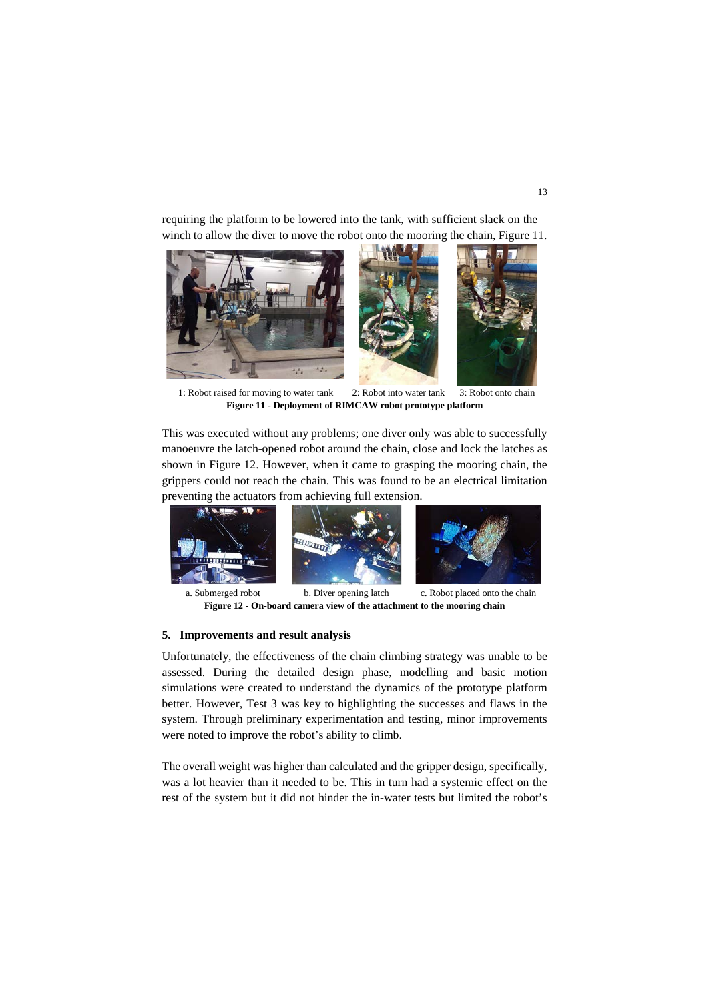requiring the platform to be lowered into the tank, with sufficient slack on the winch to allow the diver to move the robot onto the mooring the chain, [Figure 1](#page-12-0)1.



1: Robot raised for moving to water tank 2: Robot into water tank 3: Robot onto chain **Figure 11 - Deployment of RIMCAW robot prototype platform**

<span id="page-12-0"></span>This was executed without any problems; one diver only was able to successfully manoeuvre the latch-opened robot around the chain, close and lock the latches as shown in [Figure 1](#page-12-1)2. However, when it came to grasping the mooring chain, the grippers could not reach the chain. This was found to be an electrical limitation preventing the actuators from achieving full extension.







<span id="page-12-1"></span>

a. Submerged robot b. Diver opening latch c. Robot placed onto the chain **Figure 12 - On-board camera view of the attachment to the mooring chain**

#### **5. Improvements and result analysis**

Unfortunately, the effectiveness of the chain climbing strategy was unable to be assessed. During the detailed design phase, modelling and basic motion simulations were created to understand the dynamics of the prototype platform better. However, Test 3 was key to highlighting the successes and flaws in the system. Through preliminary experimentation and testing, minor improvements were noted to improve the robot's ability to climb.

The overall weight was higher than calculated and the gripper design, specifically, was a lot heavier than it needed to be. This in turn had a systemic effect on the rest of the system but it did not hinder the in-water tests but limited the robot's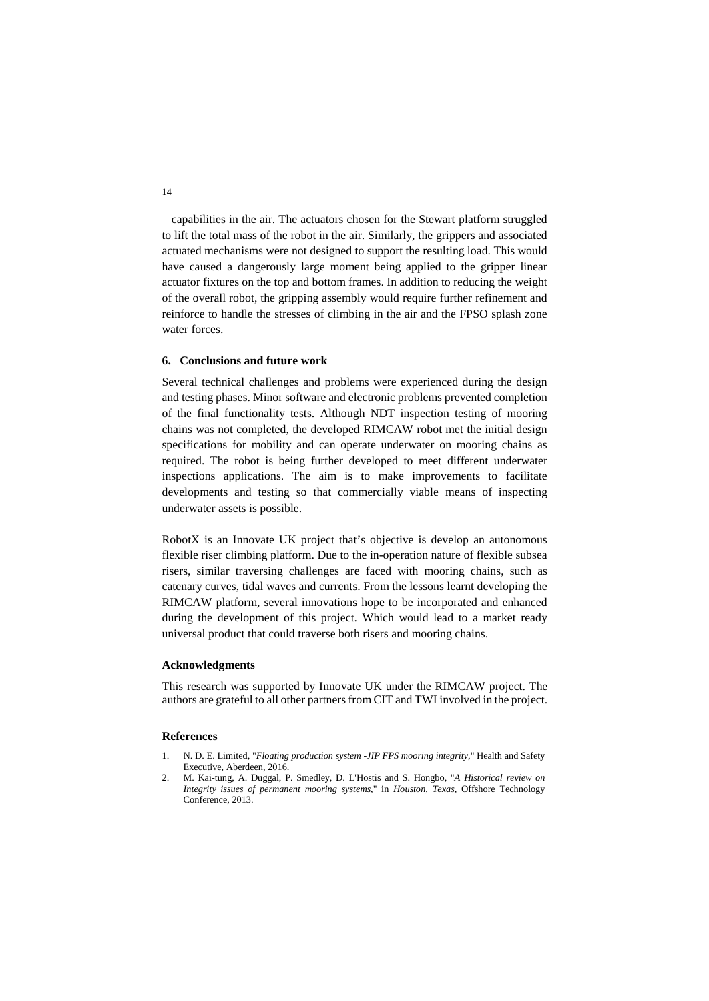capabilities in the air. The actuators chosen for the Stewart platform struggled to lift the total mass of the robot in the air. Similarly, the grippers and associated actuated mechanisms were not designed to support the resulting load. This would have caused a dangerously large moment being applied to the gripper linear actuator fixtures on the top and bottom frames. In addition to reducing the weight of the overall robot, the gripping assembly would require further refinement and reinforce to handle the stresses of climbing in the air and the FPSO splash zone water forces.

## **6. Conclusions and future work**

Several technical challenges and problems were experienced during the design and testing phases. Minor software and electronic problems prevented completion of the final functionality tests. Although NDT inspection testing of mooring chains was not completed, the developed RIMCAW robot met the initial design specifications for mobility and can operate underwater on mooring chains as required. The robot is being further developed to meet different underwater inspections applications. The aim is to make improvements to facilitate developments and testing so that commercially viable means of inspecting underwater assets is possible.

RobotX is an Innovate UK project that's objective is develop an autonomous flexible riser climbing platform. Due to the in-operation nature of flexible subsea risers, similar traversing challenges are faced with mooring chains, such as catenary curves, tidal waves and currents. From the lessons learnt developing the RIMCAW platform, several innovations hope to be incorporated and enhanced during the development of this project. Which would lead to a market ready universal product that could traverse both risers and mooring chains.

#### **Acknowledgments**

This research was supported by Innovate UK under the RIMCAW project. The authors are grateful to all other partners from CIT and TWI involved in the project.

#### **References**

- 1. N. D. E. Limited, "*Floating production system -JIP FPS mooring integrity*," Health and Safety Executive, Aberdeen, 2016.
- 2. M. Kai-tung, A. Duggal, P. Smedley, D. L'Hostis and S. Hongbo, "*A Historical review on Integrity issues of permanent mooring systems*," in *Houston, Texas*, Offshore Technology Conference, 2013.